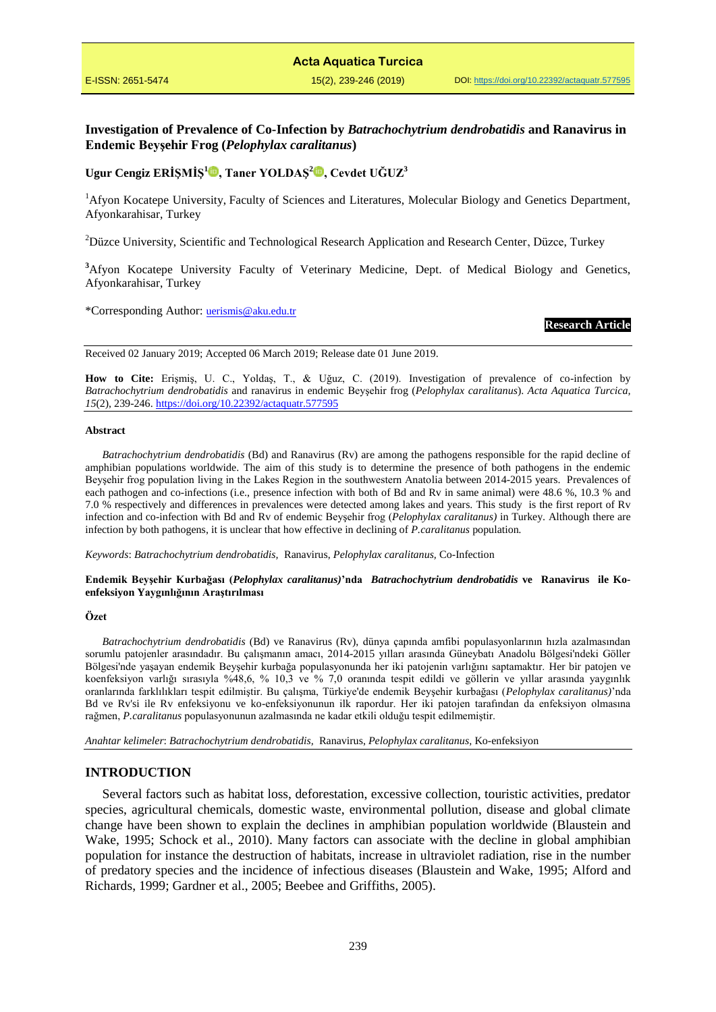# **Investigation of Prevalence of Co-Infection by** *Batrachochytrium dendrobatidis* **and Ranavirus in Endemic Beyşehir Frog (***Pelophylax caralitanus***)**

# **Ugur Cengiz ERİŞMİŞ[1](https://orcid.org/0000-0002-6958-2016) , Taner YOLDAŞ<sup>2</sup> , Cevdet UĞUZ<sup>3</sup>**

<sup>1</sup>Afyon Kocatepe University, Faculty of Sciences and Literatures, Molecular Biology and Genetics Department, Afyonkarahisar, Turkey

<sup>2</sup>Düzce University, Scientific and Technological Research Application and Research Center, Düzce, Turkey

<sup>3</sup>Afyon Kocatepe University Faculty of Veterinary Medicine, Dept. of Medical Biology and Genetics, Afyonkarahisar, Turkey

\*Corresponding Author: [uerismis@aku.edu.tr](mailto:uerismis@aku.edu.tr)

### **Research Article**

Received 02 January 2019; Accepted 06 March 2019; Release date 01 June 2019.

**How to Cite:** Erişmiş, U. C., Yoldaş, T., & Uğuz, C. (2019). Investigation of prevalence of co-infection by *Batrachochytrium dendrobatidis* and ranavirus in endemic Beyşehir frog (*Pelophylax caralitanus*). *Acta Aquatica Turcica, 15*(2), 239-246. <https://doi.org/10.22392/actaquatr.577595>

#### **Abstract**

*Batrachochytrium dendrobatidis* (Bd) and Ranavirus (Rv) are among the pathogens responsible for the rapid decline of amphibian populations worldwide. The aim of this study is to determine the presence of both pathogens in the endemic Beyşehir frog population living in the Lakes Region in the southwestern Anatolia between 2014-2015 years. Prevalences of each pathogen and co-infections (i.e., presence infection with both of Bd and Rv in same animal) were 48.6 %, 10.3 % and 7.0 % respectively and differences in prevalences were detected among lakes and years. This study is the first report of Rv infection and co-infection with Bd and Rv of endemic Beyşehir frog (*Pelophylax caralitanus)* in Turkey. Although there are infection by both pathogens, it is unclear that how effective in declining of *P.caralitanus* population*.*

*Keywords*: *Batrachochytrium dendrobatidis,* Ranavirus, *Pelophylax caralitanus,* Co-Infection

### **Endemik Beyşehir Kurbağası (***Pelophylax caralitanus)***'nda** *Batrachochytrium dendrobatidis* **ve Ranavirus ile Koenfeksiyon Yaygınlığının Araştırılması**

### **Özet**

*Batrachochytrium dendrobatidis* (Bd) ve Ranavirus (Rv), dünya çapında amfibi populasyonlarının hızla azalmasından sorumlu patojenler arasındadır. Bu çalışmanın amacı, 2014-2015 yılları arasında Güneybatı Anadolu Bölgesi'ndeki Göller Bölgesi'nde yaşayan endemik Beyşehir kurbağa populasyonunda her iki patojenin varlığını saptamaktır. Her bir patojen ve koenfeksiyon varlığı sırasıyla %48,6, % 10,3 ve % 7,0 oranında tespit edildi ve göllerin ve yıllar arasında yaygınlık oranlarında farklılıkları tespit edilmiştir. Bu çalışma, Türkiye'de endemik Beyşehir kurbağası (*Pelophylax caralitanus)*'nda Bd ve Rv'si ile Rv enfeksiyonu ve ko-enfeksiyonunun ilk rapordur. Her iki patojen tarafından da enfeksiyon olmasına rağmen, *P.caralitanus* populasyonunun azalmasında ne kadar etkili olduğu tespit edilmemiştir.

*Anahtar kelimeler*: *Batrachochytrium dendrobatidis,* Ranavirus, *Pelophylax caralitanus,* Ko-enfeksiyon

## **INTRODUCTION**

Several factors such as habitat loss, deforestation, excessive collection, touristic activities, predator species, agricultural chemicals, domestic waste, environmental pollution, disease and global climate change have been shown to explain the declines in amphibian population worldwide (Blaustein and Wake, 1995; Schock et al., 2010). Many factors can associate with the decline in global amphibian population for instance the destruction of habitats, increase in ultraviolet radiation, rise in the number of predatory species and the incidence of infectious diseases (Blaustein and Wake, 1995; Alford and Richards, 1999; Gardner et al., 2005; Beebee and Griffiths, 2005).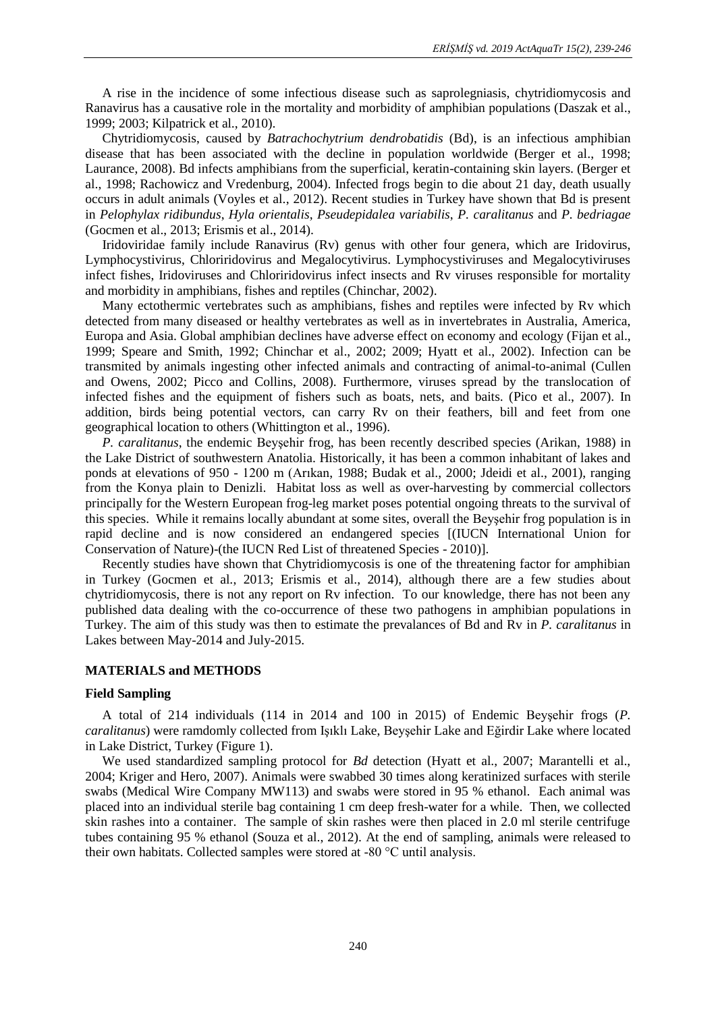A rise in the incidence of some infectious disease such as saprolegniasis, chytridiomycosis and Ranavirus has a causative role in the mortality and morbidity of amphibian populations (Daszak et al., 1999; 2003; Kilpatrick et al., 2010).

Chytridiomycosis, caused by *Batrachochytrium dendrobatidis* (Bd), is an infectious amphibian disease that has been associated with the decline in population worldwide (Berger et al., 1998; Laurance, 2008). Bd infects amphibians from the superficial, keratin-containing skin layers. (Berger et al., 1998; Rachowicz and Vredenburg, 2004). Infected frogs begin to die about 21 day, death usually occurs in adult animals (Voyles et al., 2012). Recent studies in Turkey have shown that Bd is present in *Pelophylax ridibundus*, *Hyla orientalis*, *Pseudepidalea variabilis*, *P. caralitanus* and *P. bedriagae*  (Gocmen et al., 2013; Erismis et al., 2014).

Iridoviridae family include Ranavirus (Rv) genus with other four genera, which are Iridovirus, Lymphocystivirus, Chloriridovirus and Megalocytivirus. Lymphocystiviruses and Megalocytiviruses infect fishes, Iridoviruses and Chloriridovirus infect insects and Rv viruses responsible for mortality and morbidity in amphibians, fishes and reptiles (Chinchar, 2002).

Many ectothermic vertebrates such as amphibians, fishes and reptiles were infected by Rv which detected from many diseased or healthy vertebrates as well as in invertebrates in Australia, America, Europa and Asia. Global amphibian declines have adverse effect on economy and ecology (Fijan et al., 1999; Speare and Smith, 1992; Chinchar et al., 2002; 2009; Hyatt et al., 2002). Infection can be transmited by animals ingesting other infected animals and contracting of animal-to-animal (Cullen and Owens, 2002; Picco and Collins, 2008). Furthermore, viruses spread by the translocation of infected fishes and the equipment of fishers such as boats, nets, and baits. (Pico et al., 2007). In addition, birds being potential vectors, can carry Rv on their feathers, bill and feet from one geographical location to others (Whittington et al., 1996).

*P. caralitanus*, the endemic Beyşehir frog, has been recently described species (Arikan, 1988) in the Lake District of southwestern Anatolia. Historically, it has been a common inhabitant of lakes and ponds at elevations of 950 - 1200 m (Arıkan, 1988; Budak et al., 2000; Jdeidi et al., 2001), ranging from the Konya plain to Denizli. Habitat loss as well as over-harvesting by commercial collectors principally for the Western European frog-leg market poses potential ongoing threats to the survival of this species. While it remains locally abundant at some sites, overall the Beyşehir frog population is in rapid decline and is now considered an endangered species [(IUCN International Union for Conservation of Nature)-(the IUCN Red List of threatened Species - 2010)].

Recently studies have shown that Chytridiomycosis is one of the threatening factor for amphibian in Turkey (Gocmen et al., 2013; Erismis et al., 2014), although there are a few studies about chytridiomycosis, there is not any report on Rv infection. To our knowledge, there has not been any published data dealing with the co-occurrence of these two pathogens in amphibian populations in Turkey. The aim of this study was then to estimate the prevalances of Bd and Rv in *P. caralitanus* in Lakes between May-2014 and July-2015.

# **MATERIALS and METHODS**

# **Field Sampling**

A total of 214 individuals (114 in 2014 and 100 in 2015) of Endemic Beyşehir frogs (*P. caralitanus*) were ramdomly collected from Işıklı Lake, Beyşehir Lake and Eğirdir Lake where located in Lake District, Turkey (Figure 1).

We used standardized sampling protocol for *Bd* detection (Hyatt et al., 2007; Marantelli et al., 2004; Kriger and Hero, 2007). Animals were swabbed 30 times along keratinized surfaces with sterile swabs (Medical Wire Company MW113) and swabs were stored in 95 % ethanol. Each animal was placed into an individual sterile bag containing 1 cm deep fresh-water for a while. Then, we collected skin rashes into a container. The sample of skin rashes were then placed in 2.0 ml sterile centrifuge tubes containing 95 % ethanol (Souza et al., 2012). At the end of sampling, animals were released to their own habitats. Collected samples were stored at -80 °C until analysis.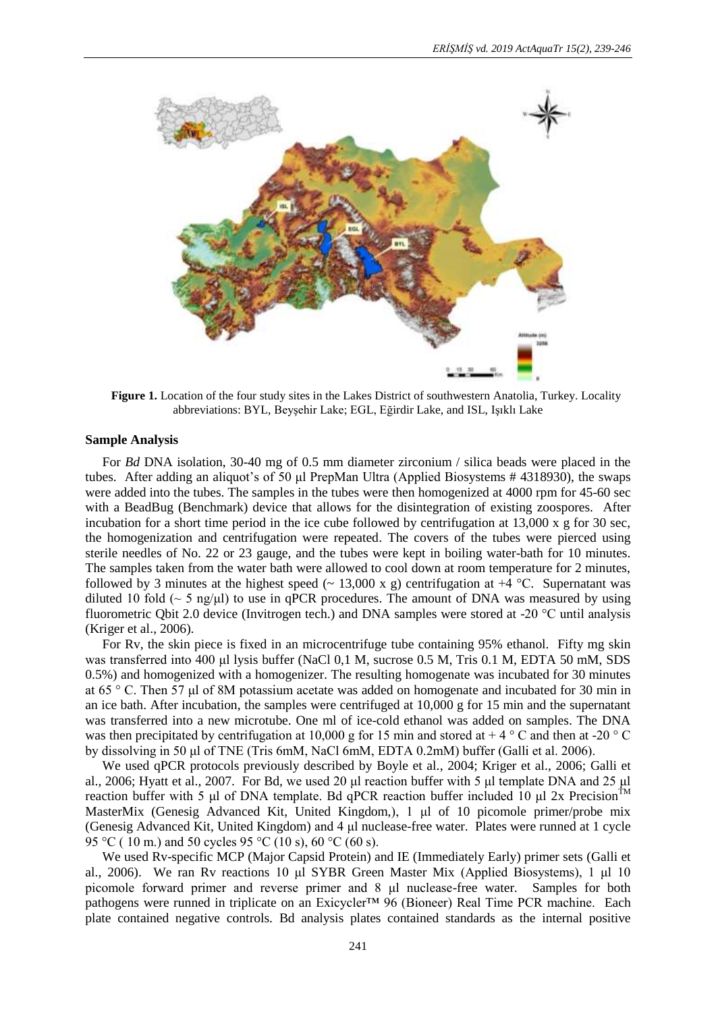

**Figure 1.** Location of the four study sites in the Lakes District of southwestern Anatolia, Turkey. Locality abbreviations: BYL, Beyşehir Lake; EGL, Eğirdir Lake, and ISL, Işıklı Lake

## **Sample Analysis**

For *Bd* DNA isolation, 30-40 mg of 0.5 mm diameter zirconium / silica beads were placed in the tubes. After adding an aliquot's of 50 μl PrepMan Ultra (Applied Biosystems # 4318930), the swaps were added into the tubes. The samples in the tubes were then homogenized at 4000 rpm for 45-60 sec with a BeadBug (Benchmark) device that allows for the disintegration of existing zoospores. After incubation for a short time period in the ice cube followed by centrifugation at  $13,000 \times g$  for 30 sec, the homogenization and centrifugation were repeated. The covers of the tubes were pierced using sterile needles of No. 22 or 23 gauge, and the tubes were kept in boiling water-bath for 10 minutes. The samples taken from the water bath were allowed to cool down at room temperature for 2 minutes, followed by 3 minutes at the highest speed ( $\sim$  13,000 x g) centrifugation at +4 °C. Supernatant was diluted 10 fold ( $\sim$  5 ng/ $\mu$ l) to use in qPCR procedures. The amount of DNA was measured by using fluorometric Qbit 2.0 device (Invitrogen tech.) and DNA samples were stored at -20 °C until analysis (Kriger et al., 2006).

For Rv, the skin piece is fixed in an microcentrifuge tube containing 95% ethanol. Fifty mg skin was transferred into 400 μl lysis buffer (NaCl 0,1 M, sucrose 0.5 M, Tris 0.1 M, EDTA 50 mM, SDS 0.5%) and homogenized with a homogenizer. The resulting homogenate was incubated for 30 minutes at 65 ° C. Then 57 μl of 8M potassium acetate was added on homogenate and incubated for 30 min in an ice bath. After incubation, the samples were centrifuged at 10,000 g for 15 min and the supernatant was transferred into a new microtube. One ml of ice-cold ethanol was added on samples. The DNA was then precipitated by centrifugation at 10,000 g for 15 min and stored at  $+ 4\degree$ C and then at -20  $\degree$ C by dissolving in 50 μl of TNE (Tris 6mM, NaCl 6mM, EDTA 0.2mM) buffer (Galli et al. 2006).

We used qPCR protocols previously described by Boyle et al., 2004; Kriger et al., 2006; Galli et al., 2006; Hyatt et al., 2007. For Bd*,* we used 20 μl reaction buffer with 5 μl template DNA and 25 μl reaction buffer with 5 μl of DNA template. Bd qPCR reaction buffer included 10 μl 2x Precision<sup>TM</sup> MasterMix (Genesig Advanced Kit, United Kingdom,), 1 μl of 10 picomole primer/probe mix (Genesig Advanced Kit, United Kingdom) and 4 μl nuclease-free water. Plates were runned at 1 cycle 95 °C ( 10 m.) and 50 cycles 95 °C (10 s), 60 °C (60 s).

We used Rv-specific MCP (Major Capsid Protein) and IE (Immediately Early) primer sets (Galli et al., 2006). We ran Rv reactions 10 μl SYBR Green Master Mix (Applied Biosystems), 1 μl 10 picomole forward primer and reverse primer and 8 μl nuclease-free water. Samples for both pathogens were runned in triplicate on an Exicycler™ 96 (Bioneer) Real Time PCR machine. Each plate contained negative controls. Bd analysis plates contained standards as the internal positive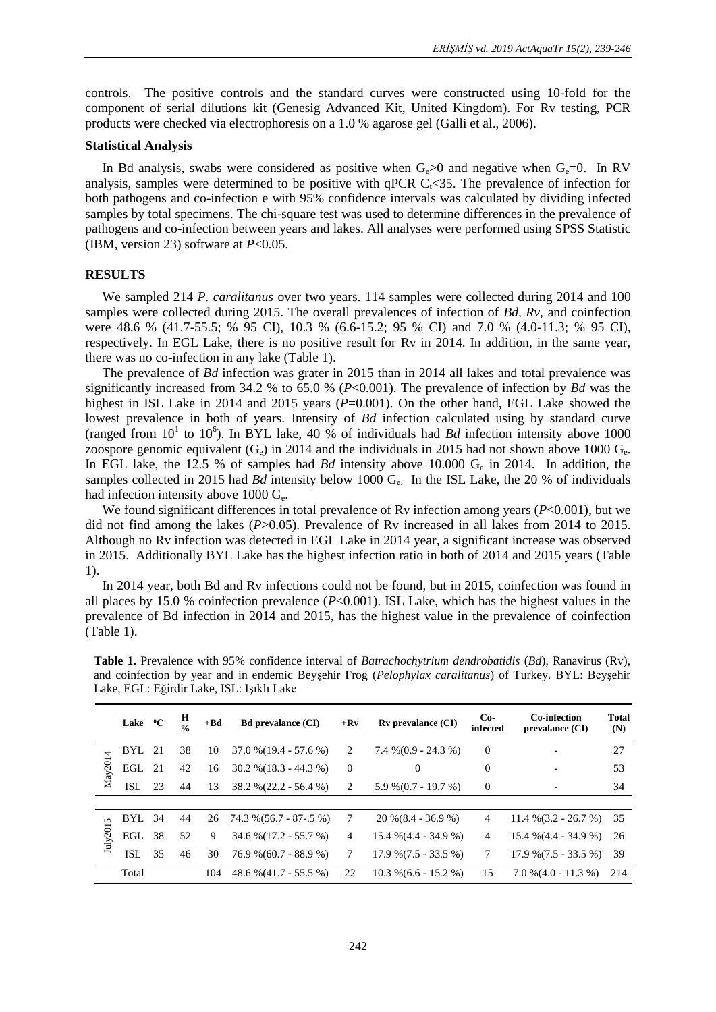controls. The positive controls and the standard curves were constructed using 10-fold for the component of serial dilutions kit (Genesig Advanced Kit, United Kingdom). For Rv testing, PCR products were checked via electrophoresis on a 1.0 % agarose gel (Galli et al., 2006).

## **Statistical Analysis**

In Bd analysis, swabs were considered as positive when  $G_0 > 0$  and negative when  $G_0 = 0$ . In RV analysis, samples were determined to be positive with qPCR  $C_f \leq 35$ . The prevalence of infection for both pathogens and co-infection e with 95% confidence intervals was calculated by dividing infected samples by total specimens. The chi-square test was used to determine differences in the prevalence of pathogens and co-infection between years and lakes. All analyses were performed using SPSS Statistic (IBM, version 23) software at *P*<0.05.

# **RESULTS**

We sampled 214 *P. caralitanus* over two years. 114 samples were collected during 2014 and 100 samples were collected during 2015. The overall prevalences of infection of *Bd, Rv,* and coinfection were 48.6 % (41.7-55.5; % 95 CI), 10.3 % (6.6-15.2; 95 % CI) and 7.0 % (4.0-11.3; % 95 CI), respectively. In EGL Lake, there is no positive result for Rv in 2014. In addition, in the same year, there was no co-infection in any lake (Table 1).

The prevalence of *Bd* infection was grater in 2015 than in 2014 all lakes and total prevalence was significantly increased from 34.2 % to 65.0 % (*P*<0.001). The prevalence of infection by *Bd* was the highest in ISL Lake in 2014 and 2015 years ( $P=0.001$ ). On the other hand, EGL Lake showed the lowest prevalence in both of years. Intensity of *Bd* infection calculated using by standard curve (ranged from  $10^1$  to  $10^6$ ). In BYL lake, 40 % of individuals had *Bd* infection intensity above 1000 zoospore genomic equivalent  $(G_e)$  in 2014 and the individuals in 2015 had not shown above 1000  $G_e$ . In EGL lake, the 12.5 % of samples had *Bd* intensity above 10.000  $G_e$  in 2014. In addition, the samples collected in 2015 had *Bd* intensity below 1000 G<sub>e</sub>. In the ISL Lake, the 20 % of individuals had infection intensity above  $1000 \, \text{G}_e$ .

We found significant differences in total prevalence of Rv infection among years ( $P<0.001$ ), but we did not find among the lakes (*P*>0.05). Prevalence of Rv increased in all lakes from 2014 to 2015. Although no Rv infection was detected in EGL Lake in 2014 year, a significant increase was observed in 2015. Additionally BYL Lake has the highest infection ratio in both of 2014 and 2015 years (Table 1).

In 2014 year, both Bd and Rv infections could not be found, but in 2015, coinfection was found in all places by 15.0 % coinfection prevalence (*P*<0.001). ISL Lake, which has the highest values in the prevalence of Bd infection in 2014 and 2015, has the highest value in the prevalence of coinfection (Table 1).

|          | Lake          | $\rm ^{o}C$ | Н<br>$\frac{0}{0}$ | $+Bd$ | <b>Bd</b> prevalance (CI) | $+{\bf R}{\bf v}$ | <b>Rv</b> prevalance (CI) | $Co-$<br>infected | Co-infection<br>prevalance (CI) | <b>Total</b><br>(N) |
|----------|---------------|-------------|--------------------|-------|---------------------------|-------------------|---------------------------|-------------------|---------------------------------|---------------------|
| May2014  | <b>BYL</b> 21 |             | 38                 | 10    | $37.0\%$ (19.4 - 57.6 %)  | 2                 | $7.4\% (0.9 - 24.3\%)$    | $\theta$          |                                 | 27                  |
|          | EGL 21        |             | 42                 | 16    | $30.2\%$ (18.3 - 44.3 %)  | $\theta$          | $\mathbf{0}$              | $\overline{0}$    |                                 | 53                  |
|          | ISL.          | -23         | 44                 | 13    | $38.2\% (22.2 - 56.4\%)$  | 2                 | $5.9\% (0.7 - 19.7\%)$    | $\theta$          |                                 | 34                  |
|          |               |             |                    |       |                           |                   |                           |                   |                                 |                     |
| July2015 | <b>BYL</b> 34 |             | 44                 | 26    | 74.3 % (56.7 - 87-.5 %)   | 7                 | $20\% (8.4 - 36.9\%)$     | 4                 | $11.4\%$ $(3.2 - 26.7\%)$       | 35                  |
|          | EGL 38        |             | 52                 | 9     | $34.6\% (17.2 - 55.7\%)$  | 4                 | $15.4\%$ (4.4 - 34.9 %)   | 4                 | $15.4\%$ (4.4 - 34.9 %)         | 26                  |
|          | <b>ISL</b>    | 35          | 46                 | 30    | $76.9\% (60.7 - 88.9\%)$  | 7                 | $17.9\% (7.5 - 33.5\%)$   | 7                 | $17.9\%$ (7.5 - 33.5 %)         | 39                  |
|          | Total         |             |                    | 104   | $48.6\% (41.7 - 55.5\%)$  | 22                | $10.3\%$ (6.6 - 15.2 %)   | 15                | $7.0\%$ $(4.0 - 11.3\%)$        | 214                 |

**Table 1.** Prevalence with 95% confidence interval of *Batrachochytrium dendrobatidis* (*Bd*), Ranavirus (Rv), and coinfection by year and in endemic Beyşehir Frog (*Pelophylax caralitanus*) of Turkey. BYL: Beyşehir Lake, EGL: Eğirdir Lake, ISL: Işıklı Lake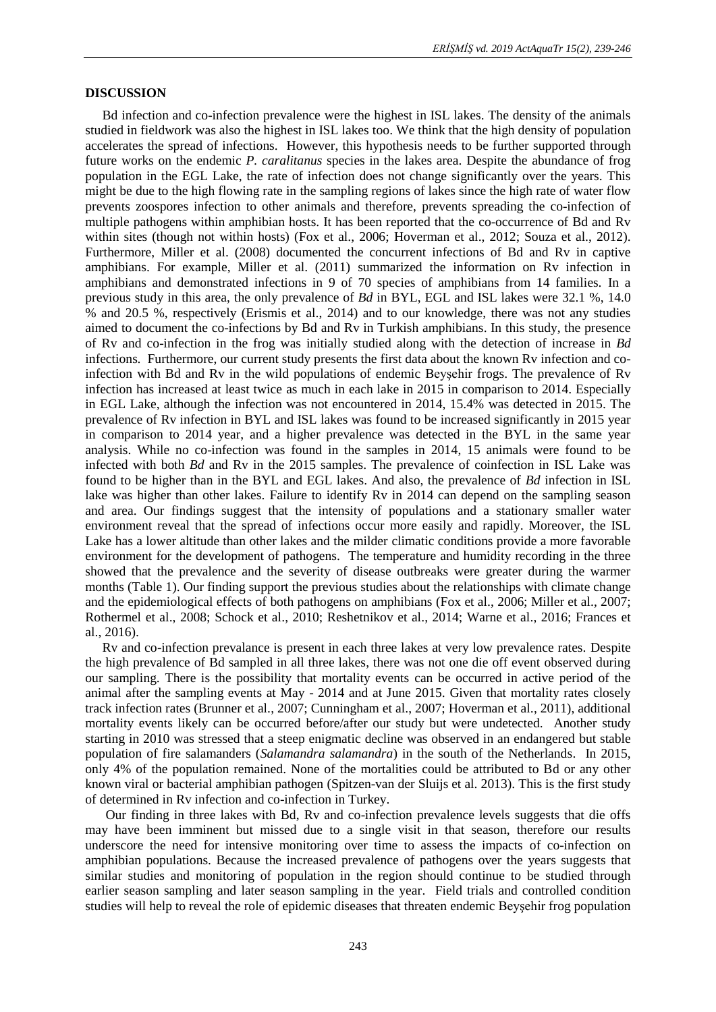## **DISCUSSION**

Bd infection and co-infection prevalence were the highest in ISL lakes. The density of the animals studied in fieldwork was also the highest in ISL lakes too. We think that the high density of population accelerates the spread of infections. However, this hypothesis needs to be further supported through future works on the endemic *P. caralitanus* species in the lakes area. Despite the abundance of frog population in the EGL Lake, the rate of infection does not change significantly over the years. This might be due to the high flowing rate in the sampling regions of lakes since the high rate of water flow prevents zoospores infection to other animals and therefore, prevents spreading the co-infection of multiple pathogens within amphibian hosts. It has been reported that the co-occurrence of Bd and Rv within sites (though not within hosts) (Fox et al., 2006; Hoverman et al., 2012; Souza et al., 2012). Furthermore, Miller et al. (2008) documented the concurrent infections of Bd and Rv in captive amphibians. For example, Miller et al. (2011) summarized the information on Rv infection in amphibians and demonstrated infections in 9 of 70 species of amphibians from 14 families. In a previous study in this area, the only prevalence of *Bd* in BYL, EGL and ISL lakes were 32.1 %, 14.0 % and 20.5 %, respectively (Erismis et al., 2014) and to our knowledge, there was not any studies aimed to document the co-infections by Bd and Rv in Turkish amphibians. In this study, the presence of Rv and co-infection in the frog was initially studied along with the detection of increase in *Bd* infections. Furthermore, our current study presents the first data about the known Rv infection and coinfection with Bd and Rv in the wild populations of endemic Beyşehir frogs. The prevalence of Rv infection has increased at least twice as much in each lake in 2015 in comparison to 2014. Especially in EGL Lake, although the infection was not encountered in 2014, 15.4% was detected in 2015. The prevalence of Rv infection in BYL and ISL lakes was found to be increased significantly in 2015 year in comparison to 2014 year, and a higher prevalence was detected in the BYL in the same year analysis. While no co-infection was found in the samples in 2014, 15 animals were found to be infected with both *Bd* and Rv in the 2015 samples. The prevalence of coinfection in ISL Lake was found to be higher than in the BYL and EGL lakes. And also, the prevalence of *Bd* infection in ISL lake was higher than other lakes. Failure to identify Rv in 2014 can depend on the sampling season and area. Our findings suggest that the intensity of populations and a stationary smaller water environment reveal that the spread of infections occur more easily and rapidly. Moreover, the ISL Lake has a lower altitude than other lakes and the milder climatic conditions provide a more favorable environment for the development of pathogens. The temperature and humidity recording in the three showed that the prevalence and the severity of disease outbreaks were greater during the warmer months (Table 1). Our finding support the previous studies about the relationships with climate change and the epidemiological effects of both pathogens on amphibians (Fox et al., 2006; Miller et al., 2007; Rothermel et al., 2008; Schock et al., 2010; Reshetnikov et al., 2014; Warne et al., 2016; Frances et al., 2016).

Rv and co-infection prevalance is present in each three lakes at very low prevalence rates. Despite the high prevalence of Bd sampled in all three lakes, there was not one die off event observed during our sampling. There is the possibility that mortality events can be occurred in active period of the animal after the sampling events at May - 2014 and at June 2015. Given that mortality rates closely track infection rates (Brunner et al., 2007; Cunningham et al., 2007; Hoverman et al., 2011), additional mortality events likely can be occurred before/after our study but were undetected. Another study starting in 2010 was stressed that a steep enigmatic decline was observed in an endangered but stable population of fire salamanders (*Salamandra salamandra*) in the south of the Netherlands. In 2015, only 4% of the population remained. None of the mortalities could be attributed to Bd or any other known viral or bacterial amphibian pathogen (Spitzen-van der Sluijs et al. 2013). This is the first study of determined in Rv infection and co-infection in Turkey.

Our finding in three lakes with Bd, Rv and co-infection prevalence levels suggests that die offs may have been imminent but missed due to a single visit in that season, therefore our results underscore the need for intensive monitoring over time to assess the impacts of co-infection on amphibian populations. Because the increased prevalence of pathogens over the years suggests that similar studies and monitoring of population in the region should continue to be studied through earlier season sampling and later season sampling in the year. Field trials and controlled condition studies will help to reveal the role of epidemic diseases that threaten endemic Beyşehir frog population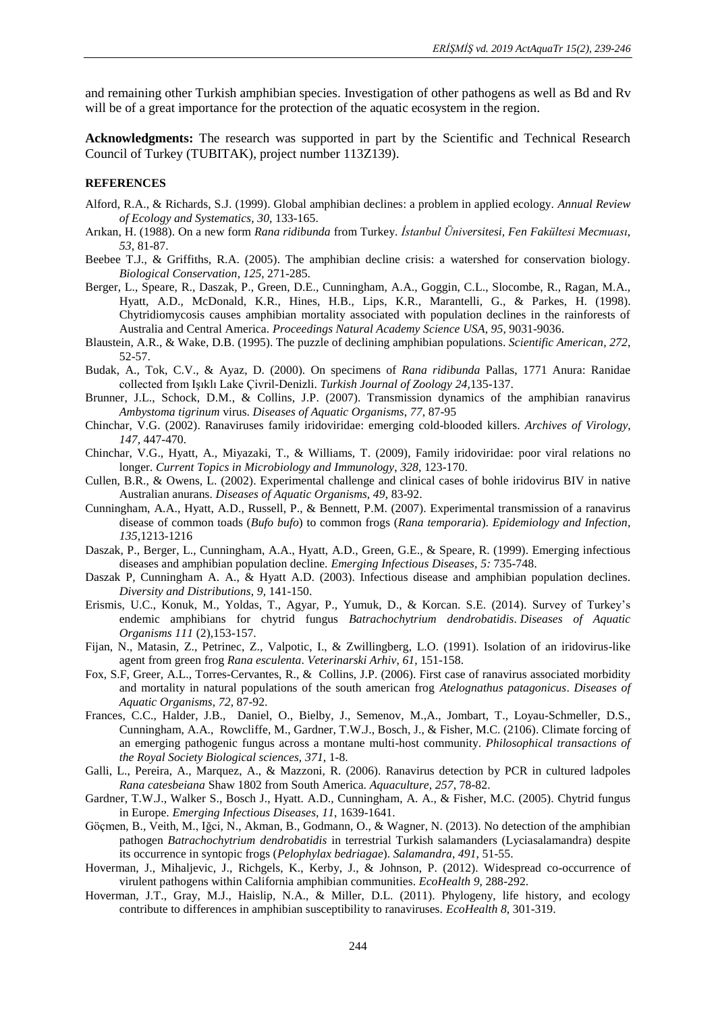and remaining other Turkish amphibian species. Investigation of other pathogens as well as Bd and Rv will be of a great importance for the protection of the aquatic ecosystem in the region.

**Acknowledgments:** The research was supported in part by the Scientific and Technical Research Council of Turkey (TUBITAK), project number 113Z139).

### **REFERENCES**

- Alford, R.A., & Richards, S.J. (1999). Global amphibian declines: a problem in applied ecology. *Annual Review of Ecology and Systematics*, *30,* 133-165.
- Arıkan, H. (1988). On a new form *Rana ridibunda* from Turkey. *İstanbul Üniversitesi, Fen Fakültesi Mecmuası*, *53*, 81-87.
- Beebee T.J., & Griffiths, R.A. (2005). The amphibian decline crisis: a watershed for conservation biology. *Biological Conservation*, *125*, 271-285.
- Berger, L., Speare, R., Daszak, P., Green, D.E., Cunningham, A.A., Goggin, C.L., Slocombe, R., Ragan, M.A., Hyatt, A.D., McDonald, K.R., Hines, H.B., Lips, K.R., Marantelli, G., & Parkes, H. (1998). Chytridiomycosis causes amphibian mortality associated with population declines in the rainforests of Australia and Central America. *Proceedings Natural Academy Science USA, 95,* 9031-9036.
- Blaustein, A.R., & Wake, D.B. (1995). The puzzle of declining amphibian populations. *Scientific American*, *272*, 52-57.
- Budak, A., Tok, C.V., & Ayaz, D. (2000). On specimens of *Rana ridibunda* Pallas, 1771 Anura: Ranidae collected from Işıklı Lake Çivril-Denizli. *Turkish Journal of Zoology 24,*135-137.
- Brunner, J.L., Schock, D.M., & Collins, J.P. (2007). Transmission dynamics of the amphibian ranavirus *Ambystoma tigrinum* virus. *Diseases of Aquatic Organisms*, *77*, 87-95
- Chinchar, V.G. (2002). Ranaviruses family iridoviridae: emerging cold-blooded killers. *Archives of Virology*, *147,* 447-470.
- Chinchar, V.G., Hyatt, A., Miyazaki, T., & Williams, T. (2009), Family iridoviridae: poor viral relations no longer. *Current Topics in Microbiology and Immunology*, *328*, 123-170.
- Cullen, B.R., & Owens, L. (2002). Experimental challenge and clinical cases of bohle iridovirus BIV in native Australian anurans. *Diseases of Aquatic Organisms*, *49*, 83-92.
- Cunningham, A.A., Hyatt, A.D., Russell, P., & Bennett, P.M. (2007). Experimental transmission of a ranavirus disease of common toads (*Bufo bufo*) to common frogs (*Rana temporaria*). *Epidemiology and Infection, 135*,1213-1216
- Daszak, P., Berger, L., Cunningham, A.A., Hyatt, A.D., Green, G.E., & Speare, R. (1999). Emerging infectious diseases and amphibian population decline. *Emerging Infectious Diseases, 5:* 735-748.
- Daszak P, Cunningham A. A., & Hyatt A.D. (2003). Infectious disease and amphibian population declines. *Diversity and Distributions*, *9*, 141-150.
- Erismis, U.C., Konuk, M., Yoldas, T., Agyar, P., Yumuk, D., & Korcan. S.E. (2014). Survey of Turkey's endemic amphibians for chytrid fungus *Batrachochytrium dendrobatidis*. *Diseases of Aquatic Organisms 111* (2),153-157.
- Fijan, N., Matasin, Z., Petrinec, Z., Valpotic, I., & Zwillingberg, L.O. (1991). Isolation of an iridovirus-like agent from green frog *Rana esculenta*. *Veterinarski Arhiv*, *61*, 151-158.
- Fox, S.F, Greer, A.L., Torres-Cervantes, R., & Collins, J.P. (2006). First case of ranavirus associated morbidity and mortality in natural populations of the south american frog *Atelognathus patagonicus*. *Diseases of Aquatic Organisms, 72*, 87-92.
- Frances, C.C., Halder, J.B., Daniel, O., Bielby, J., Semenov, M.,A., Jombart, T., Loyau-Schmeller, D.S., Cunningham, A.A., Rowcliffe, M., Gardner, T.W.J., Bosch, J., & Fisher, M.C. (2106). Climate forcing of an emerging pathogenic fungus across a montane multi-host community. *Philosophical transactions of the Royal Society Biological sciences, 371*, 1-8.
- Galli, L., Pereira, A., Marquez, A., & Mazzoni, R. (2006). Ranavirus detection by PCR in cultured ladpoles *Rana catesbeiana* Shaw 1802 from South America. *Aquaculture*, *257*, 78-82.
- Gardner, T.W.J., Walker S., Bosch J., Hyatt. A.D., Cunningham, A. A., & Fisher, M.C. (2005). Chytrid fungus in Europe. *Emerging Infectious Diseases, 11*, 1639-1641.
- Göçmen, B., Veith, M., Iğci, N., Akman, B., Godmann, O., & Wagner, N. (2013). No detection of the amphibian pathogen *Batrachochytrium dendrobatidis* in terrestrial Turkish salamanders (Lyciasalamandra) despite its occurrence in syntopic frogs (*Pelophylax bedriagae*). *Salamandra*, *491*, 51-55.
- Hoverman, J., Mihaljevic, J., Richgels, K., Kerby, J., & Johnson, P. (2012). Widespread co-occurrence of virulent pathogens within California amphibian communities. *EcoHealth 9*, 288-292.
- Hoverman, J.T., Gray, M.J., Haislip, N.A., & Miller, D.L. (2011). Phylogeny, life history, and ecology contribute to differences in amphibian susceptibility to ranaviruses. *EcoHealth 8*, 301-319.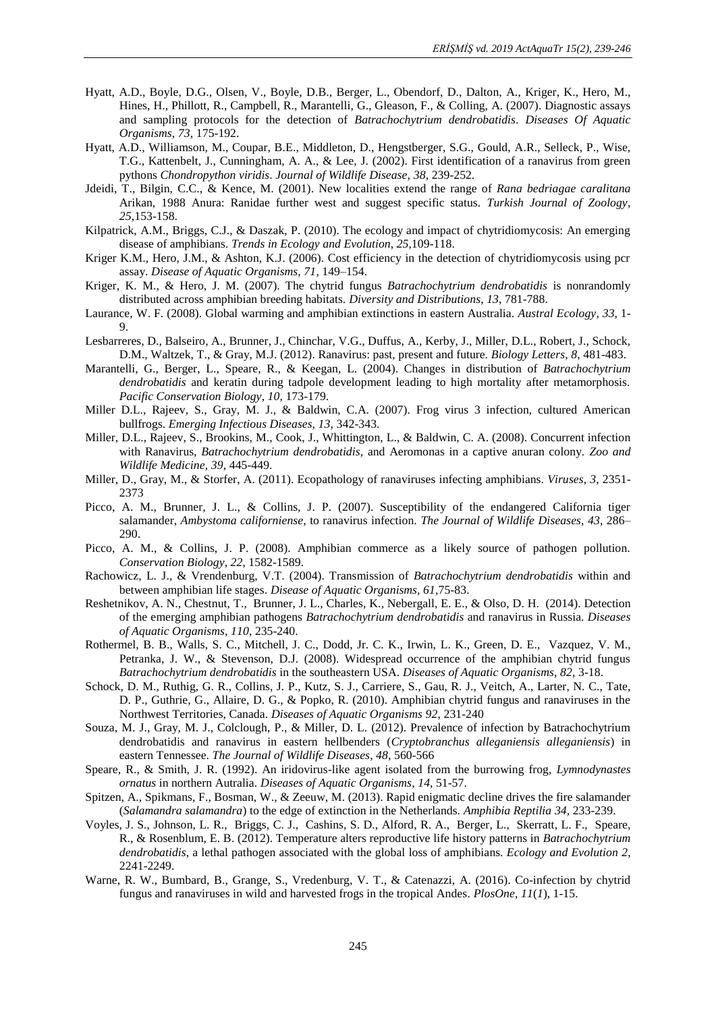- Hyatt, A.D., Boyle, D.G., Olsen, V., Boyle, D.B., Berger, L., Obendorf, D., Dalton, A., Kriger, K., Hero, M., Hines, H., Phillott, R., Campbell, R., Marantelli, G., Gleason, F., & Colling, A. (2007). Diagnostic assays and sampling protocols for the detection of *Batrachochytrium dendrobatidis*. *Diseases Of Aquatic Organisms*, *73,* 175-192.
- Hyatt, A.D., Williamson, M., Coupar, B.E., Middleton, D., Hengstberger, S.G., Gould, A.R., Selleck, P., Wise, T.G., Kattenbelt, J., Cunningham, A. A., & Lee, J. (2002). First identification of a ranavirus from green pythons *Chondropython viridis*. *Journal of Wildlife Disease*, *38,* 239-252.
- Jdeidi, T., Bilgin, C.C., & Kence, M. (2001). New localities extend the range of *Rana bedriagae caralitana* Arikan, 1988 Anura: Ranidae further west and suggest specific status. *Turkish Journal of Zoology*, *25*,153-158.
- Kilpatrick, A.M., Briggs, C.J., & Daszak, P. (2010). The ecology and impact of chytridiomycosis: An emerging disease of amphibians. *Trends in Ecology and Evolution*, *25*,109-118.
- Kriger K.M., Hero, J.M., & Ashton, K.J. (2006). Cost efficiency in the detection of chytridiomycosis using pcr assay. *Disease of Aquatic Organisms, 71,* 149–154.
- Kriger, K. M., & Hero, J. M. (2007). The chytrid fungus *Batrachochytrium dendrobatidis* is nonrandomly distributed across amphibian breeding habitats. *Diversity and Distributions*, *13*, 781-788.
- Laurance, W. F. (2008). Global warming and amphibian extinctions in eastern Australia. *Austral Ecology, 33*, 1- 9.
- Lesbarreres, D., Balseiro, A., Brunner, J., Chinchar, V.G., Duffus, A., Kerby, J., Miller, D.L., Robert, J., Schock, D.M., Waltzek, T., & Gray, M.J. (2012). Ranavirus: past, present and future. *Biology Letters*, *8*, 481-483.
- Marantelli, G., Berger, L., Speare, R., & Keegan, L. (2004). Changes in distribution of *Batrachochytrium dendrobatidis* and keratin during tadpole development leading to high mortality after metamorphosis. *Pacific Conservation Biology*, *10,* 173-179.
- Miller D.L., Rajeev, S., Gray, M. J., & Baldwin, C.A. (2007). Frog virus 3 infection, cultured American bullfrogs. *Emerging Infectious Diseases*, *13*, 342-343.
- Miller, D.L., Rajeev, S., Brookins, M., Cook, J., Whittington, L., & Baldwin, C. A. (2008). Concurrent infection with Ranavirus, *Batrachochytrium dendrobatidis*, and Aeromonas in a captive anuran colony. *Zoo and Wildlife Medicine, 39*, 445-449.
- Miller, D., Gray, M., & Storfer, A. (2011). Ecopathology of ranaviruses infecting amphibians. *Viruses*, *3*, 2351- 2373
- Picco, A. M., Brunner, J. L., & Collins, J. P. (2007). Susceptibility of the endangered California tiger salamander, *Ambystoma californiense*, to ranavirus infection. *The Journal of Wildlife Diseases, 43*, 286– 290.
- Picco, A. M., & Collins, J. P. (2008). Amphibian commerce as a likely source of pathogen pollution. *Conservation Biology*, *22*, 1582-1589.
- Rachowicz, L. J., & Vrendenburg, V.T. (2004). Transmission of *Batrachochytrium dendrobatidis* within and between amphibian life stages. *Disease of Aquatic Organisms, 61*,75-83.
- Reshetnikov, A. N., Chestnut, T., Brunner, J. L., Charles, K., Nebergall, E. E., & Olso, D. H. (2014). Detection of the emerging amphibian pathogens *Batrachochytrium dendrobatidis* and ranavirus in Russia. *Diseases of Aquatic Organisms*, *110*, 235-240.
- Rothermel, B. B., Walls, S. C., Mitchell, J. C., Dodd, Jr. C. K., Irwin, L. K., Green, D. E., Vazquez, V. M., Petranka, J. W., & Stevenson, D.J. (2008). Widespread occurrence of the amphibian chytrid fungus *Batrachochytrium dendrobatidis* in the southeastern USA. *Diseases of Aquatic Organisms*, *82*, 3-18.
- Schock, D. M., Ruthig, G. R., Collins, J. P., Kutz, S. J., Carriere, S., Gau, R. J., Veitch, A., Larter, N. C., Tate, D. P., Guthrie, G., Allaire, D. G., & Popko, R. (2010). Amphibian chytrid fungus and ranaviruses in the Northwest Territories, Canada. *Diseases of Aquatic Organisms 92*, 231-240
- Souza, M. J., Gray, M. J., Colclough, P., & Miller, D. L. (2012). Prevalence of infection by Batrachochytrium dendrobatidis and ranavirus in eastern hellbenders (*Cryptobranchus alleganiensis alleganiensis*) in eastern Tennessee. *The Journal of Wildlife Diseases*, *48*, 560-566
- Speare, R., & Smith, J. R. (1992). An iridovirus-like agent isolated from the burrowing frog, *Lymnodynastes ornatus* in northern Autralia. *Diseases of Aquatic Organisms*, *14*, 51-57.
- Spitzen, A., Spikmans, F., Bosman, W., & Zeeuw, M. (2013). Rapid enigmatic decline drives the fire salamander (*Salamandra salamandra*) to the edge of extinction in the Netherlands. *Amphibia Reptilia 34,* 233-239.
- Voyles, J. S., Johnson, L. R., Briggs, C. J., Cashins, S. D., Alford, R. A., Berger, L., Skerratt, L. F., Speare, R., & Rosenblum, E. B. (2012). Temperature alters reproductive life history patterns in *Batrachochytrium dendrobatidis*, a lethal pathogen associated with the global loss of amphibians. *Ecology and Evolution 2*, 2241-2249.
- Warne, R. W., Bumbard, B., Grange, S., Vredenburg, V. T., & Catenazzi, A. (2016). Co-infection by chytrid fungus and ranaviruses in wild and harvested frogs in the tropical Andes*. PlosOne*, *11*(*1*), 1-15.